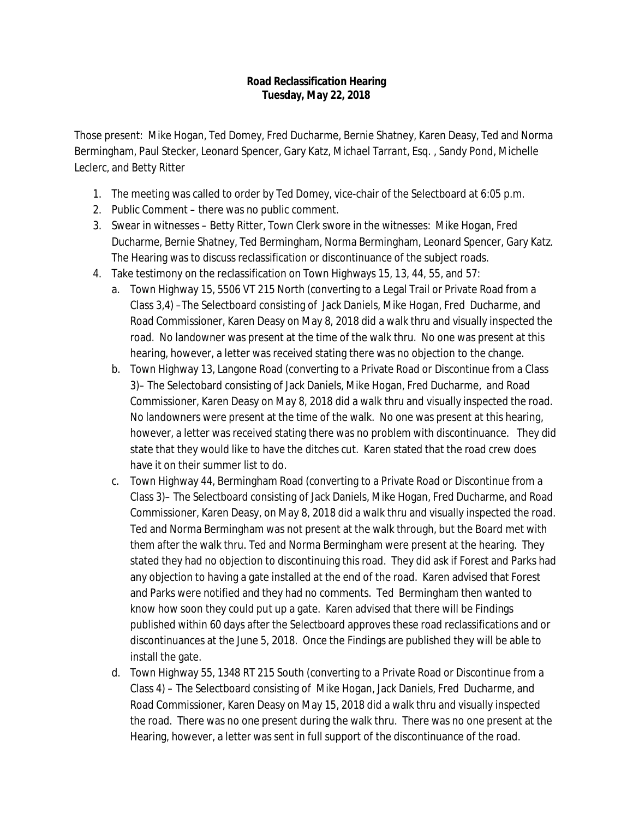## **Road Reclassification Hearing Tuesday, May 22, 2018**

Those present: Mike Hogan, Ted Domey, Fred Ducharme, Bernie Shatney, Karen Deasy, Ted and Norma Bermingham, Paul Stecker, Leonard Spencer, Gary Katz, Michael Tarrant, Esq. , Sandy Pond, Michelle Leclerc, and Betty Ritter

- 1. The meeting was called to order by Ted Domey, vice-chair of the Selectboard at 6:05 p.m.
- 2. Public Comment there was no public comment.
- 3. Swear in witnesses Betty Ritter, Town Clerk swore in the witnesses: Mike Hogan, Fred Ducharme, Bernie Shatney, Ted Bermingham, Norma Bermingham, Leonard Spencer, Gary Katz. The Hearing was to discuss reclassification or discontinuance of the subject roads.
- 4. Take testimony on the reclassification on Town Highways 15, 13, 44, 55, and 57:
	- a. Town Highway 15, 5506 VT 215 North (converting to a Legal Trail or Private Road from a Class 3,4) –The Selectboard consisting of Jack Daniels, Mike Hogan, Fred Ducharme, and Road Commissioner, Karen Deasy on May 8, 2018 did a walk thru and visually inspected the road. No landowner was present at the time of the walk thru. No one was present at this hearing, however, a letter was received stating there was no objection to the change.
	- b. Town Highway 13, Langone Road (converting to a Private Road or Discontinue from a Class 3)– The Selectobard consisting of Jack Daniels, Mike Hogan, Fred Ducharme, and Road Commissioner, Karen Deasy on May 8, 2018 did a walk thru and visually inspected the road. No landowners were present at the time of the walk. No one was present at this hearing, however, a letter was received stating there was no problem with discontinuance. They did state that they would like to have the ditches cut. Karen stated that the road crew does have it on their summer list to do.
	- c. Town Highway 44, Bermingham Road (converting to a Private Road or Discontinue from a Class 3)– The Selectboard consisting of Jack Daniels, Mike Hogan, Fred Ducharme, and Road Commissioner, Karen Deasy, on May 8, 2018 did a walk thru and visually inspected the road. Ted and Norma Bermingham was not present at the walk through, but the Board met with them after the walk thru. Ted and Norma Bermingham were present at the hearing. They stated they had no objection to discontinuing this road. They did ask if Forest and Parks had any objection to having a gate installed at the end of the road. Karen advised that Forest and Parks were notified and they had no comments. Ted Bermingham then wanted to know how soon they could put up a gate. Karen advised that there will be Findings published within 60 days after the Selectboard approves these road reclassifications and or discontinuances at the June 5, 2018. Once the Findings are published they will be able to install the gate.
	- d. Town Highway 55, 1348 RT 215 South (converting to a Private Road or Discontinue from a Class 4) – The Selectboard consisting of Mike Hogan, Jack Daniels, Fred Ducharme, and Road Commissioner, Karen Deasy on May 15, 2018 did a walk thru and visually inspected the road. There was no one present during the walk thru. There was no one present at the Hearing, however, a letter was sent in full support of the discontinuance of the road.